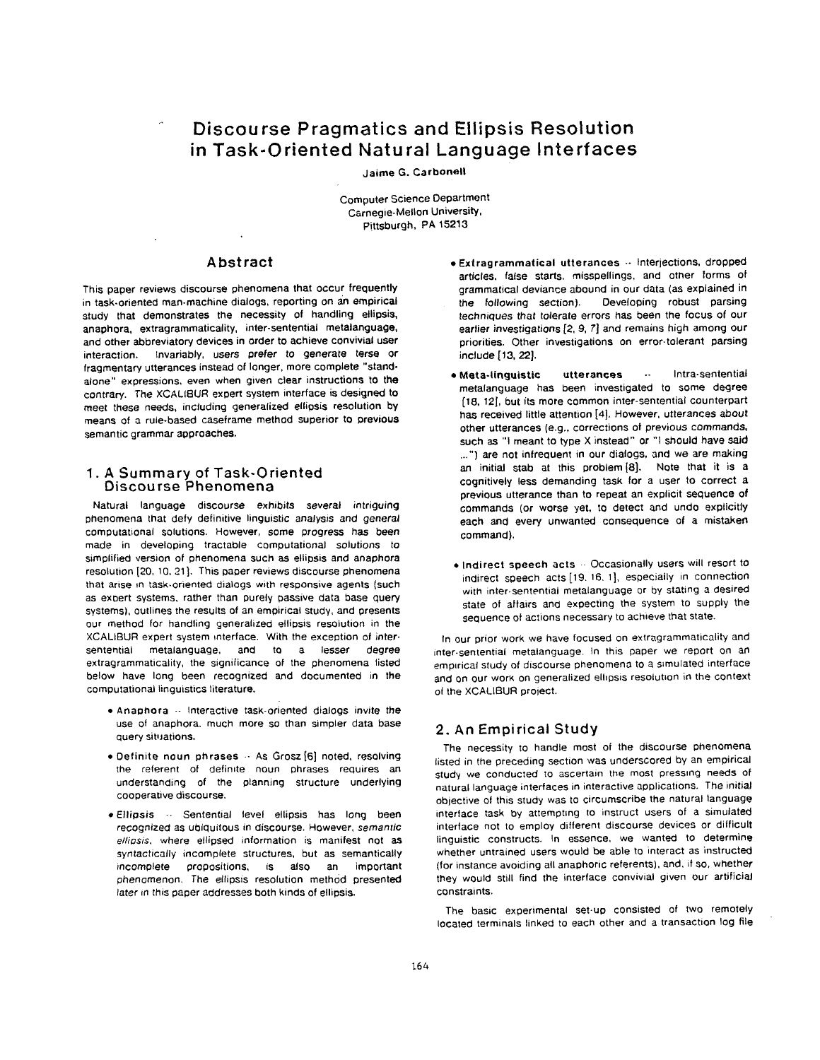# **Discourse Pragmatics and Ellipsis Resolution in Task-Oriented Natural Language Interfaces**

Jaime G. **Carbonell** 

Computer Science Department Carnegie-Mellon University. Pittsburgh, PA 15213

### **Abstract**

This paper reviews discourse phenomena that occur frequently in task-oriented man-machine dialogs, reporting on an empirical study that demonstrates the necessity of handling ellipsis, anaphora, extragrammaticality, inter-sentential metalanguage, and other abbreviatory devices in order to achieve convivial user interaction. Invariably, users *prefer* to *generate terse* or fragmentary utterances instead of longer, more complete "standalone" expressions, even when given clear instructions tO the contrary. The XCALIBUR expert system interface is designed to meet these needs, including generalized ellipsis resolution by means of a rule-based caseframe method superior tO **previous**  semantic grammar approaches.

# **1. A Summary of Task-Oriented**  Discourse Phenomena

Natural language discourse exhibits several intriguing phenomena that defy definitive linguistic analysis and *general*  computational solutions. However, some progress has been made in developing tractable computational solutions to simplified version of phenomena such as ellipsis and anaphora resolution [20, 10, 21]. This paper reviews discourse phenomena that arise in task-oriented dialogs with responsive agents (such as expert systems, rather than purely passive data base query systems), outlines the results of an empirical study, and presents our method for handling generalized ellipsis resolution in the XCALIBUR expert system interface. With the exception of intersentential metalanguage, and to a lesser degree extragrammaticality, the significance of the phenomena listed below have long been recognized and documented in the computational linguistics literature.

- Anaphora -- Interactive task-oriented dialogs invite the use of anaphora, much more so than simpler data base query situations.
- Definite **noun phrases** -- As Grosz [6] noted, resolving the referent of defimte noun phrases requires an understanding of the planning structure underlying cooperative discourse,
- Ellipsis -. Sentential level ellipsis has long been *recognized* as ubiquitous in discourse. However, *semantic ellipsis,* where ellipsed information is manifest not as *syntactically* incomplete structures, but as semantically incomplete propositions, is also an important phenomenon. *The* ellipsis resolution method presented later in this paper addresses both kinds of ellipsis.
- Extragrammatical utterances  $\cdot$  Interjections, dropped articles, false starts, misspellings, and other forms of grammatical deviance abound in our data (as explained in the following section). Developing robust parsing *techniques that* tolerate errors has been the focus of our earlier investigations [2, 9. 7] and remains high among our priorities. Other investigations on error-tolerant parsing incJude [13, *22].*
- Meta-linguistic utterances -- Intra-sentential metalanguage has been investigated to some degree [18, 12J, but its more common inter-sententiai counterpart has received little attention [4}. However, *utterances* about other utterances (e,g,, corrections of previous *commands,*  such as "1 meant to type X instead" or "1 should have said ...") are not infrequent in our dialogs, and we are making an initial stab at this problem [8}. Note that it is a cognitively less demanding task for a user to correct a previous utterance than to repeat an explicit sequence of commands (or worse yet, to detect and undo explicitly each and every unwanted consequence of a mistaken command).
- indirect speech acts -- Occasionally users will resort tO indirect speech acts[19. 16, 1], especially in connection with inter.sentential metalanguage or by stating a desired state of affairs and expecting the system to supply the sequence of actions necessary to achieve that state.

In our prior work we have focused on extragrammaticality and inter.sentential metalanguage. In this paper we report on an empirical study of discourse phenomena to a simulated interface and on our work on generalized ellipsis resolution in the context of the XCALIBUR project,

# **2.** An Empirical Study

The necessity to handle most of the discourse phenomena listed in the preceding section was underscored by an empirical study we conducted to ascertain the most pressing needs of natural language interfaces in interactive applications. The initial objective of this study was to circumscribe the natural language interface task by attempting to instruct users of a simulated interface not to employ different discourse devices or difficult linguistic constructs. In essence, we wanted to determine whether untrained users would be able to interact as instructed (for instance avoiding all anaphoric referents), and, if so, whether they would still find the interface convivial given our artificial constraints.

The basic experimental set-up consisted of two remotely located terminals linked to each other and a transaction log file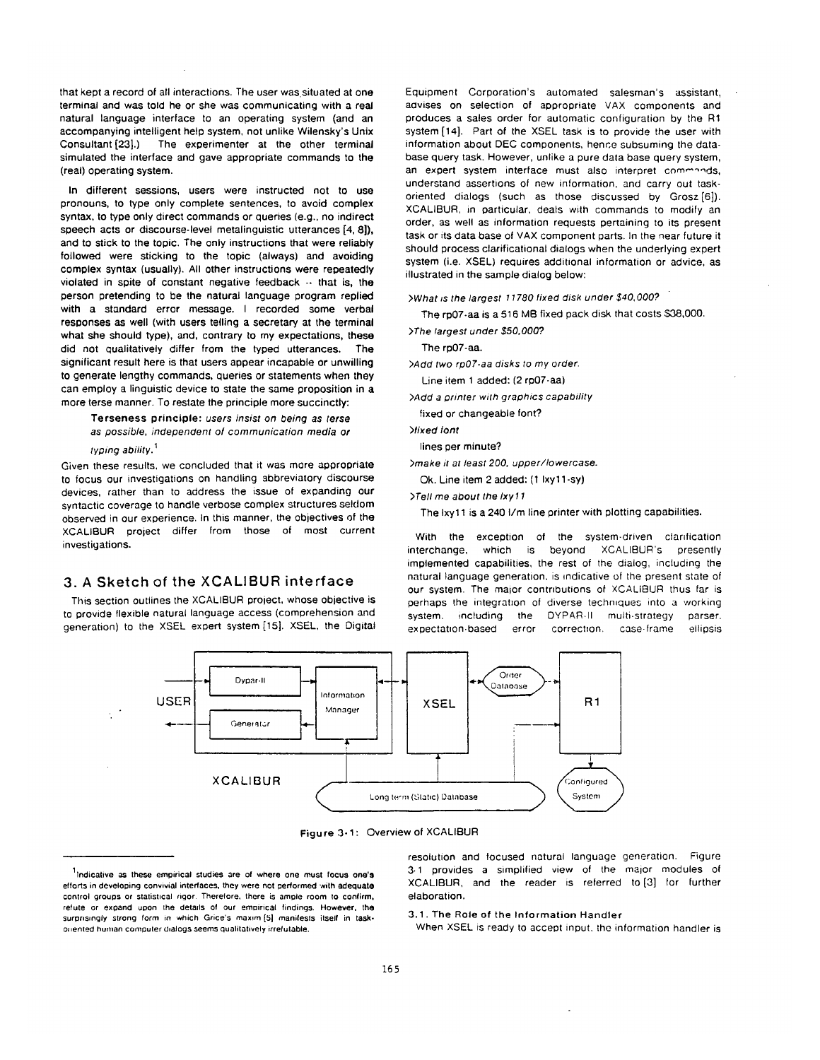that kept a record of all interactions. The user was situated at one terminal and was told he or she was communicating with a real natural language interface to an operating system (and an accompanying intelligent help system, not unlike Wilensky's Unix Consultant[23].) The experimenter at the other terminal simulated the interface and gave appropriate commands to the (real) operating system.

In different sessions, users were instructed not to use pronouns, to type only complete sentences, to avoid complex syntax, to type only direct commands or queries (e.g., no indirect speech acts or discourse-level metalinguistic utterances [4, 8]), and to stick to the topic. The only instructions that were reliably followed were sticking to the topic (always) and avoiding complex syntax (usually). All other instructions were repeatedly violated in spite of constant negative feedback -- that is, the person pretending to be the natural language program replied with a standard error message. I recorded some verbal responses as well (with users telling a secretary at the terminal what she should type), and, contrary to my expectations, these did not qualitatively differ from the typed utterances. The significant result here is that users appear incapable or unwilling to generate lengthy commands, queries or statements when they can employ a linguistic device to state the same proposition in a more terse manner. To restate the principle more succinctly:

Terseness principle: *users insist on being as terse as possible, independent Of communication media or* 

*typing ability. 1* 

Given these results, we concluded that it was more appropriate to focus our investigations on handling abbreviatory discourse devices, rather than to address the issue of expanding our syntactic coverage to handle verbose complex structures seldom observed in our experience. In this manner, the objectives of the XCALIBUR project differ from those of most current investigations.

# **3. A** Sketch of the ×CALIBUR interface

This section outlines the XCALIBUR project, whose objective is to provide flexible natural language access (comprehension and generation) to the XSEL expert system [15]. XSEL, the Digital Equipment Corporation's automated salesman's assistant, advises on selection of appropriate VAX components and produces a sales order for automatic configuration by the R1 system [14]. Part of the XSEL task is to provide the user with information about DEC components, hence subsuming the database query task. However, unlike a pure data base query system, an expert system interface must also interpret commands, understand assertions of new information, and carry out taskoriented dialogs (such as those discussed by Grosz[6]). XCALIBUR, in particular, deals with commands to modify an order, as well as information requests pertaining to its present task or its data base of VAX component parts. In the near future it should process clarificational dialogs when the underlying expert system (i.e. XSEL) requires additional information or advice, as illustrated in the sample dialog below:

*>What is the largest 11780 fixed disk under \$40,000?* 

The rp07-aa is a 516 M8 fixed pack disk that costs \$38,000.

*>The largest under \$50,000?* 

The rp07-aa.

*>Add two rpO7-aa disks to my order.* 

Line item 1 added: (2 ro07-aa)

*>Add a printer with graphics capatJility* 

fixed or changeable font?

*>fixed tont* 

lines per minute?

*>make it at least 200, upper/lowercase.* 

Ok. Line item 2 added: (1 Ixyt 1-sy)

*>Tell me about the Ixyl 1* 

The lxy11 is a 240 I/m line printer with plotting capabilities.

With the exception of the system-driven clarification interchange, which is beyond XCALIBUR's presently implemented capabilities, the rest of the dialog, including the natural language generation, is indicative of the present state Of our system. The major contributions of XCALIBUR thus far is perhaps the integratlon of diverse techmques into a working system, including the DYPAR.II multi-strategy parser. expectatnon.based error correction, case.frame ellipsis



Figure 3-1: Overview of XCALIBUR

resolution and focused natural language generation. Figure 3.1 provides a simplified view of the major modules of XCALIBUR, and the reader is referred to [3] for further elaboration.

3.1. The Role of the Information Handler

When XSEL is ready to accept input, the information handler is

llndicative as these empirical studies are of where one must **focus one's**  efforts in developing convivial interfaces, they were not performed with adequate control groups or statistical rigor. Therefore. there is ample room to confirm. refute or expand upon the details of our empirical findings. However, the surprisingly strong form in which Grice's maxim [5] manifests itself in taskonented human computer dialogs seems qualitatively irrefutable.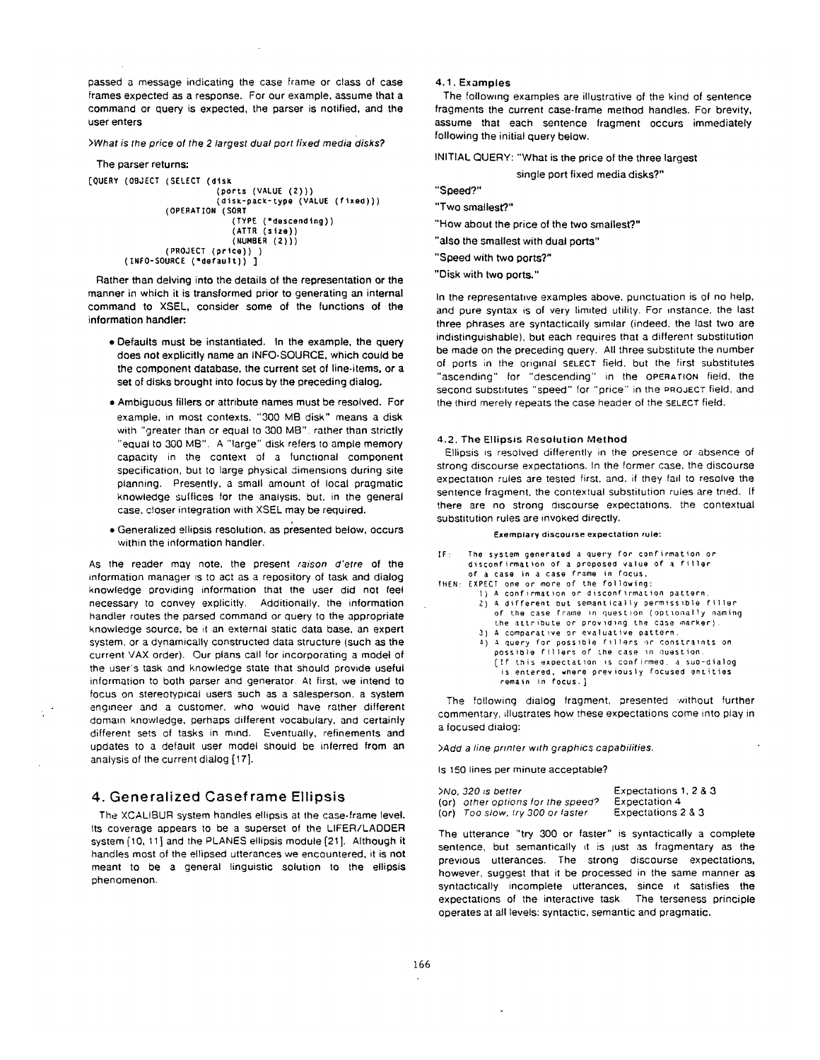passed a message indicating the case frame or class of case frames expected as a response. For our example, assume that a command or query is expected, the parser is notified, and the user enters

*>What is the price of the 2/argest dual port fixed media disks?* 

```
The parser returns; 
[QUERY (OBJECT (SELECT (disk 
                           (ports (VALUE (2))) 
                           (disk-pack-type (VALUE (fixed))) 
                (OPERATION (SORT 
                              (TYPE ('descending)) 
                              (ATTR (size)) 
                              (NUMBER (2))) 
                (PROJECT (price))) 
       (INFO-SOURCE ('default)) ]
```
Rather than delving into the details of the representation or the manner in which it is transformed prior to generating an internal command to XSEL, consider some of the functions of the information handler:

- Defaults must be instantiated. In the example, the query does not explicitly name an INFO.SOURCE, which could be the component database, the current set of line.items, or a set of disks brought into focus by the preceding dialog.
- Ambiguous fillers or attribute names must be resolved. For example, in most contexts. "300 MB disk" means a disk with "greater than or equal to 300 MB", rather than strictly "equal to 300 MB", A "large" disk refers to ample memory capacity in the context of a functional component specification, but to large physical dimensions during site planning, Presently, a small amount of local pragmatic knowledge suffices for the analysis, but. in the general case. closer integration with XSEL may be required.
- Generalized ellipsis resolution, as presented below, occurs within the information handler.

As the reader may note, the present *raison d'etre* of the information manager is to act as a repository of task and dialog knowledge providing information that the user did not feel necessary to convey explicitly. Additionally. the information handler routes the parsed command or query to the appropriate knowledge source, be it an external static data base, an expert system, or a dynamically constructed data structure (such as the current VAX order). Our plans call for incorporating a model of the user's task and knowledge state that should provide useful information to both parser and generator. At first, we intend to focus on stereotypical users such as a salesperson, a system engineer and a customer, who would have rather different domain knowledge, perhaps different vocabulary, and certainly different sets of tasks in mind. Eventually, refinements and updates to a default user model should be inferred from an analysis of the current dialog [17].

# **4.** Generalized Caseframe Ellipsis

The XCALIBUR system handles ellipsis at the case-frame level. Its coverage appears to be a superset of the LIFER/LADDER system [10, 11 ] and the PLANES ellipsis module [21 ]. Although it handles most of the ellipsed utterances we encountered, it is not meant to be a general linguistic solution to the ellipsis phenomenon.

#### 4.1. Examples

The following examples are illustrative of the kind of sentence fragments the current case-frame method handles. For brevity, assume that each sentence fragment occurs immediately following the initial query below.

INITIAL QUERY: "What is the price of the three largest

single port fixed media disks?"

"Speed?"

"Two smallest?."

"How about the price of the two smallest?"

"also the smallest with dual ports"

"Speed with two ports?"

"Disk with two ports."

In the representatwe examples above, punctuation is of no help, and pure syntax is of very limited utility. For instance, the last three phrases are syntactically similar (indeed, the last two are indistinguishable), but each requires that a different substitution be made on the preceding query. All three substitute the number of ports in the original SELECT field, but the first substitutes "ascending" for "descending" in the OPERATION field, the second substitutes "speed" for "price" in the PROJECT field, and the third merely repeats the case header of the SELECT field.

#### 4.2. The Ellipsis Resolution Method

Ellipsis is resolved differently in the presence or absence of strong discourse expectations. In the former case, the discourse expectation rules are tested first, and, if they fail to resolve the sentence fragment, the contextual substitution rules are tried. If there are no strong discourse expectations, the contextual substitution rules are invoked directly.

#### **Exemplary discourse expectation rule:**

| IF: The system generated a query for confirmation or |
|------------------------------------------------------|
| disconfirmation of a proposed value of a filler      |
| of a case in a case frame in focus,                  |
| THEN: EXPECT one or more of the following:           |

- 1) A confirmation or disconfirmation pattern.
	- 7) A different but semantically permissible f,iller of the case frame in questlon (optlonally naming the attribute or providing the case marker)
	- 3) A comparatlve or evaluative pattern.
	- 4) A query for possible fillers or constraints on possible fillers of the case In question. [If this expectatlon is confirmeo, a sup-dialog is entered, where previously focused entities remain in focus. ]

The following dialog fragment, presented without further commentary, illustrates how these expectations come into play in a focused dialog:

*>Add a line printer with graphics capabilities.* 

Is 150 lines per minute acceptable?

| >No. 320 is better                        | Expectations 1, 2 & 3 |
|-------------------------------------------|-----------------------|
| (or) other options for the speed?         | Expectation 4         |
| ( <b>or)</b> Too slow, try 300 or laster. | Expectations 2 & 3    |

The utterance "try 300 or faster" is syntactically a complete sentence, but semantically it is just as fragmentary as the previous utterances. The strong discourse expectations, however, suggest that it be processed in the same manner as syntactically incomplete utterances, since it satisfies the expectations of the interactive task The terseness principle operates at all levels: syntactic, semantic and pragmatic.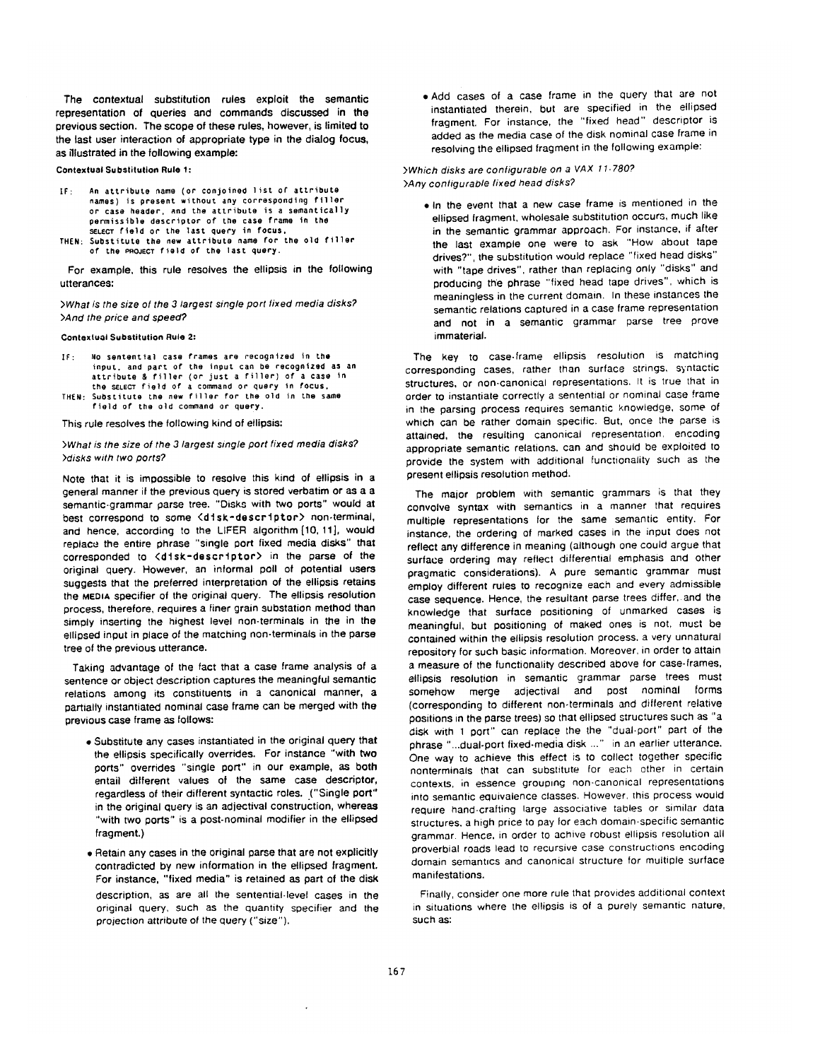The contextual substitution rules exploit the semantic representation of queries and commands discussed in the previous section. The scope of these rules, however, is limited to the last user interaction of appropriate type in the dialog focus, as illustrated in the following example:

**Contextual Substitution Rule 1:** 

- IF: An attribute name (or conjoined list of attribute **names) is present without any corresponding** filter **or case header, and the attribute is a semantically permissible descriptor** of tile **case frame In the**  SELECT field or the last query in focus,
- **THEN: Substitute the new attribute name tot the old** tiller of' the PROJECT field of **the last** query.

For example, this rule resolves the ellipsis in the following utterances:

*>What is the size of the 3/argest sing/e port fixed media disks? >And the price and speed?* 

**Contextual Substitution** Rule 2:

IF: No sentential case frames are recognized in the **inpuL, and** part of **the Input can be recognized as an**  attribute &rtller (or just a riller) of a case In **the** SELECT field or a command or query tn Focus, THEN: Substitute t.he new filler for **the old in the same**  field of the old command or query.

This rule resolves the following kind of ellipsis:

#### *>What is the size of the 3 largest single port fixed media disks? >disks with* two *ports?*

Note that it is impossible to resolve this kind of ellipsis in a general manner if the previous query is stored verbatim or as a a semantic-grammar parse tree. "Disks with two ports" would at best correspond to some <disk-descriptor> non-terminal, and hence, according to the LIFER algorithm [10, 11], would replace the entire phrase "single port fixed media disks" that corresponded to <disk-descriptor> in the parse of the original query. However, an informal poll of potential users suggests that the preferred interpretation of the ellipsis retains the MEDIA specifier of the original query. The ellipsis resolution process, therefore, requires a finer grain substation method than simply inserting the highest level non-terminals in the in the ellipsed input in place of the matching non-terminals in the parse tree of the previous utterance.

Taking advantage of the fact that a case frame analysis of a sentence or object description captures the meaningful semantic relations among its constituents in a canonical manner, a partially instantiated nominal case frame can be merged with the previous case frame as follows:

- = Substitute any cases instantiated in the original query that the ellipsis specifically overrides. For instance "with two ports" overrides "single port" in our example, as both entail different values of the same case descriptor, regardless of their different syntactic roles. ("Single port" in the original query is an adjectival construction, whereas "with two ports" is a post-nominal modifier in the ellipsed fragment.)
- Retain any cases in the original parse that are not explicitly contradicted by new information in the ellipsed fragment. For instance, "fixed media" is retained as part of the disk description, as are all the sentential-level cases in the original query, SUCh as the quantity specifier and the projection attribute of the query ("size").

• Add cases of a case frame in the query that are not instantiated therein, but are specified in the ellipsed fragment. For instance, the "fixed head" descriptor is added as the media case of the disk nominal case frame in resolving the etlipsed fragment in the following example:

#### *>Which disks are configurable on a VAX 11.7807 >Any conligurable fixed head disks?*

• In the event that a new case frame is mentioned in the ellipsed fragment, wholesale substitution occurs, much like in the semantic grammar approach. For instance, if after the last example one were to ask "How about tape drives?", the substitution would replace "fixed head disks" with "tape drives", rather than replacing only "disks" and producing the phrase "fixed head tape drives", which is meaningless in the current domain. In these instances the semantic relations captured in a case frame representation and not in a semantic grammar parse tree prove immaterial.

The key to case-frame ellipsis resolution is matching corresponding cases, rather than surface strings, syntactic structures, or non-canonical representations. It is true that in order to instantiate correctly a sentential or nominal case frame in the parsing process requires semantic knowledge, some of which can be rather domain specific. But, once the parse is attained, the resulting canonical representation, encoding appropriate semantic relations, can and should be exploited to provide the system with additional functionality such as the present ellipsis resolution method.

The major problem with semantic grammars is that they convolve syntax with semantics in a manner that requires multiple representations for the same semantic entity. For instance, the ordering of marked cases in the input does not reflect any difference in meaning (although one could argue that surface ordering may reflect differential emphasis and other pragmatic considerations). A pure semantic grammar must employ different rules to recognize each and every admissible case sequence. Hence, the resultant parse trees differ, and the knowledge that surface positioning of unmarked cases is meaningful, but positioning of maked ones is not, must be contained within the ellipsis resolution process, a very unnatural repository for such basic information. Moreover, in order to attain a measure of the functionality described above for case-frames, ellipsis resolution in semantic grammar parse trees must somehow merge adjectival and post nominal forms (corresponding to different non-terminals and different relative positions in the parse trees) so that ellipsed structures such as "a disk with 1 port" can replace the the "dual-port" part of the phrase "...dual-port fixed-media disk ..." in an earlier utterance. One way to achieve this effect is to collect together specific nonterminals that can substitute for each other in certain contexts, in essence grouping non-canonical representations into semantic equivalence classes. However, this process would require hand-crafting large associative tables or similar data structures, a high price to pay for each domain-specific semantic grammar. Hence, in order to achive robust ellipsis resolution all proverbial roads lead to recursive case constructions encoding domain semantics and canonical structure for multiple surface manifestations.

Finally, consider one more rule that provides additional context in situations where the ellipsis is of a purely semantic nature, such **as:**